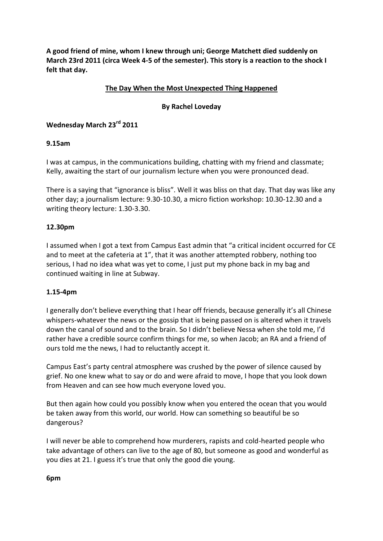**A good friend of mine, whom I knew through uni; George Matchett died suddenly on March 23rd 2011 (circa Week 4-5 of the semester). This story is a reaction to the shock I felt that day.**

## **The Day When the Most Unexpected Thing Happened**

#### **By Rachel Loveday**

# **Wednesday March 23rd 2011**

#### **9.15am**

I was at campus, in the communications building, chatting with my friend and classmate; Kelly, awaiting the start of our journalism lecture when you were pronounced dead.

There is a saying that "ignorance is bliss". Well it was bliss on that day. That day was like any other day; a journalism lecture: 9.30-10.30, a micro fiction workshop: 10.30-12.30 and a writing theory lecture: 1.30-3.30.

#### **12.30pm**

I assumed when I got a text from Campus East admin that "a critical incident occurred for CE and to meet at the cafeteria at 1", that it was another attempted robbery, nothing too serious, I had no idea what was yet to come, I just put my phone back in my bag and continued waiting in line at Subway.

#### **1.15-4pm**

I generally don't believe everything that I hear off friends, because generally it's all Chinese whispers-whatever the news or the gossip that is being passed on is altered when it travels down the canal of sound and to the brain. So I didn't believe Nessa when she told me, I'd rather have a credible source confirm things for me, so when Jacob; an RA and a friend of ours told me the news, I had to reluctantly accept it.

Campus East's party central atmosphere was crushed by the power of silence caused by grief. No one knew what to say or do and were afraid to move, I hope that you look down from Heaven and can see how much everyone loved you.

But then again how could you possibly know when you entered the ocean that you would be taken away from this world, our world. How can something so beautiful be so dangerous?

I will never be able to comprehend how murderers, rapists and cold-hearted people who take advantage of others can live to the age of 80, but someone as good and wonderful as you dies at 21. I guess it's true that only the good die young.

#### **6pm**